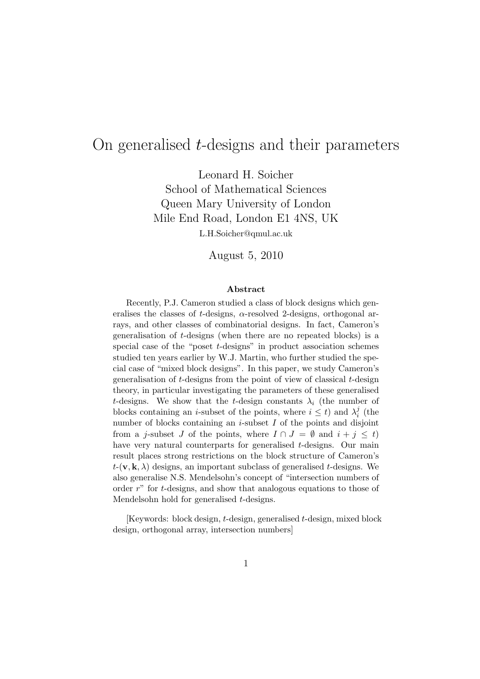## On generalised t-designs and their parameters

Leonard H. Soicher School of Mathematical Sciences Queen Mary University of London Mile End Road, London E1 4NS, UK

L.H.Soicher@qmul.ac.uk

August 5, 2010

#### Abstract

Recently, P.J. Cameron studied a class of block designs which generalises the classes of t-designs,  $\alpha$ -resolved 2-designs, orthogonal arrays, and other classes of combinatorial designs. In fact, Cameron's generalisation of t-designs (when there are no repeated blocks) is a special case of the "poset t-designs" in product association schemes studied ten years earlier by W.J. Martin, who further studied the special case of "mixed block designs". In this paper, we study Cameron's generalisation of  $t$ -designs from the point of view of classical  $t$ -design theory, in particular investigating the parameters of these generalised t-designs. We show that the t-design constants  $\lambda_i$  (the number of blocks containing an *i*-subset of the points, where  $i \leq t$ ) and  $\lambda_i^j$  $\frac{j}{i}$  (the number of blocks containing an  $i$ -subset  $I$  of the points and disjoint from a j-subset J of the points, where  $I \cap J = \emptyset$  and  $i + j \leq t$ ) have very natural counterparts for generalised t-designs. Our main result places strong restrictions on the block structure of Cameron's  $t$ -(**v**, **k**,  $\lambda$ ) designs, an important subclass of generalised t-designs. We also generalise N.S. Mendelsohn's concept of "intersection numbers of order r" for t-designs, and show that analogous equations to those of Mendelsohn hold for generalised t-designs.

[Keywords: block design, t-design, generalised t-design, mixed block design, orthogonal array, intersection numbers]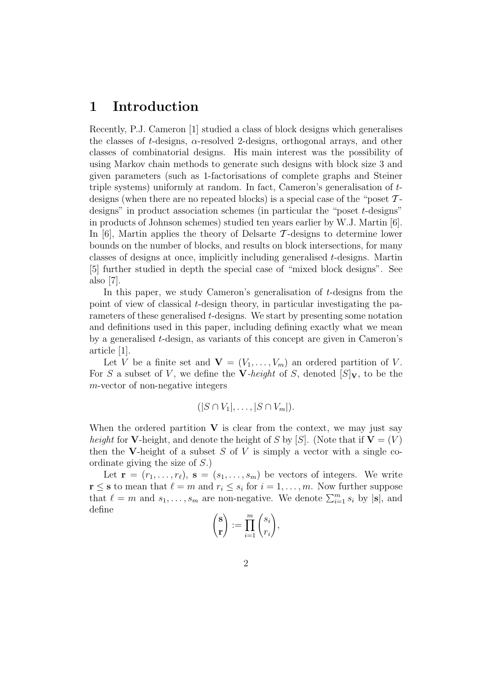#### 1 Introduction

Recently, P.J. Cameron [1] studied a class of block designs which generalises the classes of  $t$ -designs,  $\alpha$ -resolved 2-designs, orthogonal arrays, and other classes of combinatorial designs. His main interest was the possibility of using Markov chain methods to generate such designs with block size 3 and given parameters (such as 1-factorisations of complete graphs and Steiner triple systems) uniformly at random. In fact, Cameron's generalisation of tdesigns (when there are no repeated blocks) is a special case of the "poset  $\mathcal{T}$ designs" in product association schemes (in particular the "poset t-designs" in products of Johnson schemes) studied ten years earlier by W.J. Martin [6]. In  $[6]$ , Martin applies the theory of Delsarte T-designs to determine lower bounds on the number of blocks, and results on block intersections, for many classes of designs at once, implicitly including generalised t-designs. Martin [5] further studied in depth the special case of "mixed block designs". See also [7].

In this paper, we study Cameron's generalisation of t-designs from the point of view of classical t-design theory, in particular investigating the parameters of these generalised t-designs. We start by presenting some notation and definitions used in this paper, including defining exactly what we mean by a generalised t-design, as variants of this concept are given in Cameron's article [1].

Let V be a finite set and  $\mathbf{V} = (V_1, \ldots, V_m)$  an ordered partition of V. For S a subset of V, we define the V-height of S, denoted  $[S]_V$ , to be the m-vector of non-negative integers

$$
(|S \cap V_1|, \ldots, |S \cap V_m|).
$$

When the ordered partition  $V$  is clear from the context, we may just say height for V-height, and denote the height of S by [S]. (Note that if  $V = (V)$ ) then the V-height of a subset S of V is simply a vector with a single coordinate giving the size of S.)

Let  $\mathbf{r} = (r_1, \ldots, r_\ell), \, \mathbf{s} = (s_1, \ldots, s_m)$  be vectors of integers. We write  $\mathbf{r} \leq \mathbf{s}$  to mean that  $\ell = m$  and  $r_i \leq s_i$  for  $i = 1, \ldots, m$ . Now further suppose that  $\ell = m$  and  $s_1, \ldots, s_m$  are non-negative. We denote  $\sum_{i=1}^m s_i$  by  $|\mathbf{s}|$ , and define

$$
\begin{pmatrix} \mathbf{s} \\ \mathbf{r} \end{pmatrix} := \prod_{i=1}^{m} \begin{pmatrix} s_i \\ r_i \end{pmatrix},
$$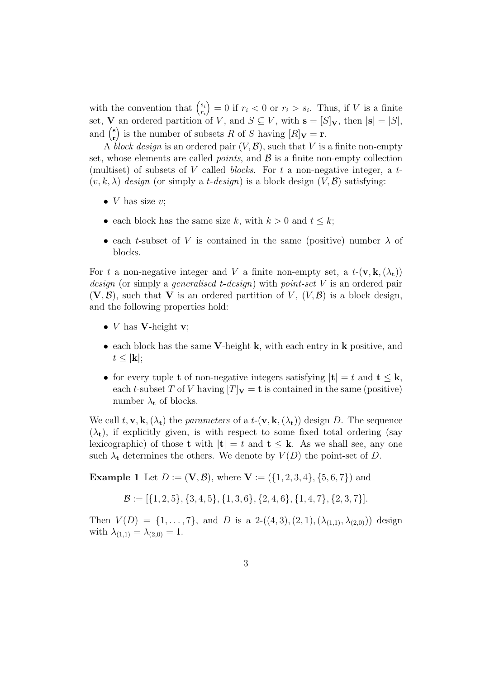with the convention that  $\binom{s_i}{r_i}$ ri  $= 0$  if  $r_i < 0$  or  $r_i > s_i$ . Thus, if V is a finite set, **V** an ordered partition of V, and  $S \subseteq V$ , with  $\mathbf{s} = [S]_{\mathbf{V}}$ , then  $|\mathbf{s}| = |S|$ , and  $\binom{s}{r}$ r ) is the number of subsets R of S having  $[R]_{\mathbf{V}} = \mathbf{r}$ .

A block design is an ordered pair  $(V, \mathcal{B})$ , such that V is a finite non-empty set, whose elements are called *points*, and  $\beta$  is a finite non-empty collection (multiset) of subsets of V called *blocks*. For  $t$  a non-negative integer, a  $t$ - $(v, k, \lambda)$  design (or simply a *t-design*) is a block design  $(V, \mathcal{B})$  satisfying:

- *V* has size  $v$ ;
- each block has the same size k, with  $k > 0$  and  $t \leq k$ ;
- each t-subset of V is contained in the same (positive) number  $\lambda$  of blocks.

For t a non-negative integer and V a finite non-empty set, a  $t-(\mathbf{v}, \mathbf{k}, (\lambda_t))$ *design* (or simply a *generalised t-design*) with *point-set* V is an ordered pair  $(V, \mathcal{B})$ , such that V is an ordered partition of V,  $(V, \mathcal{B})$  is a block design, and the following properties hold:

- *V* has **V**-height **v**;
- each block has the same V-height k, with each entry in k positive, and  $t \leq |\mathbf{k}|;$
- for every tuple **t** of non-negative integers satisfying  $|t| = t$  and  $t \leq k$ , each t-subset T of V having  $[T]_{\mathbf{V}} = \mathbf{t}$  is contained in the same (positive) number  $\lambda_{t}$  of blocks.

We call  $t, v, k, (\lambda_t)$  the parameters of a  $t-(v, k, (\lambda_t))$  design D. The sequence  $(\lambda_t)$ , if explicitly given, is with respect to some fixed total ordering (say lexicographic) of those **t** with  $|\mathbf{t}| = t$  and  $\mathbf{t} \leq \mathbf{k}$ . As we shall see, any one such  $\lambda_t$  determines the others. We denote by  $V(D)$  the point-set of D.

**Example 1** Let  $D := (\mathbf{V}, \mathcal{B})$ , where  $\mathbf{V} := (\{1, 2, 3, 4\}, \{5, 6, 7\})$  and

$$
\mathcal{B} := [\{1, 2, 5\}, \{3, 4, 5\}, \{1, 3, 6\}, \{2, 4, 6\}, \{1, 4, 7\}, \{2, 3, 7\}].
$$

Then  $V(D) = \{1, \ldots, 7\}$ , and D is a 2-((4, 3), (2, 1), ( $\lambda_{(1,1)}, \lambda_{(2,0)}$ )) design with  $\lambda_{(1,1)} = \lambda_{(2,0)} = 1$ .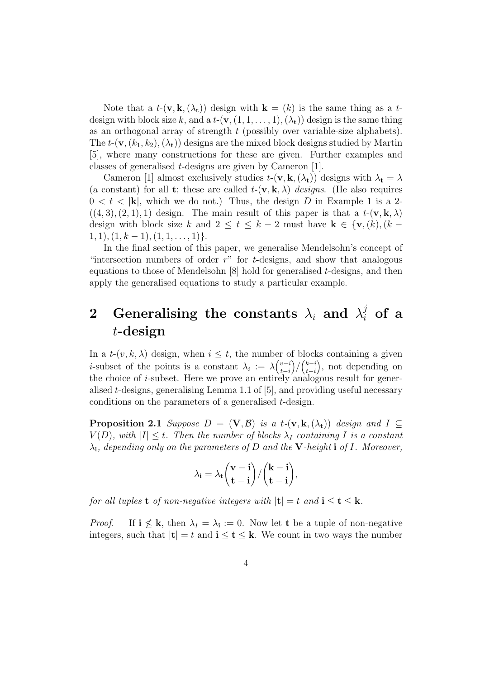Note that a  $t-(\mathbf{v}, \mathbf{k}, (\lambda_t))$  design with  $\mathbf{k} = (k)$  is the same thing as a tdesign with block size k, and a  $t$ - $(\mathbf{v}, (1, 1, \ldots, 1), (\lambda_t))$  design is the same thing as an orthogonal array of strength  $t$  (possibly over variable-size alphabets). The  $t$ -(**v**,  $(k_1, k_2)$ ,  $(\lambda_t)$ ) designs are the mixed block designs studied by Martin [5], where many constructions for these are given. Further examples and classes of generalised t-designs are given by Cameron [1].

Cameron [1] almost exclusively studies  $t$ - $(\mathbf{v}, \mathbf{k}, (\lambda_t))$  designs with  $\lambda_t = \lambda$ (a constant) for all **t**; these are called  $t-(\mathbf{v}, \mathbf{k}, \lambda)$  designs. (He also requires  $0 < t < |{\bf k}|$ , which we do not.) Thus, the design D in Example 1 is a 2- $((4, 3), (2, 1), 1)$  design. The main result of this paper is that a  $t-(\mathbf{v}, \mathbf{k}, \lambda)$ design with block size k and  $2 \le t \le k-2$  must have  $k \in \{v, (k), (k-1)\}$  $1, 1), (1, k - 1), (1, 1, \ldots, 1)\}.$ 

In the final section of this paper, we generalise Mendelsohn's concept of "intersection numbers of order  $r$ " for t-designs, and show that analogous equations to those of Mendelsohn  $[8]$  hold for generalised t-designs, and then apply the generalised equations to study a particular example.

# 2 Generalising the constants  $\lambda_i$  and  $\lambda_i^j$  of a t-design

In a  $t-(v, k, \lambda)$  design, when  $i \leq t$ , the number of blocks containing a given *i*-subset of the points is a constant  $\lambda_i := \lambda \begin{pmatrix} v-i \\ t-i \end{pmatrix}$  $t-i$  $\binom{k-i}{i-i}$  $t-i$  , not depending on the choice of *i*-subset. Here we prove an entirely analogous result for generalised  $t$ -designs, generalising Lemma 1.1 of  $[5]$ , and providing useful necessary conditions on the parameters of a generalised t-design.

**Proposition 2.1** Suppose  $D = (\mathbf{V}, \mathcal{B})$  is a t- $(\mathbf{v}, \mathbf{k}, (\lambda_t))$  design and  $I \subseteq$  $V(D)$ , with  $|I| \leq t$ . Then the number of blocks  $\lambda_I$  containing I is a constant  $\lambda_i$ , depending only on the parameters of D and the V-height i of I. Moreover,

$$
\lambda_i = \lambda_t \binom{v-i}{t-i} / \binom{k-i}{t-i},
$$

for all tuples **t** of non-negative integers with  $|\mathbf{t}| = t$  and  $\mathbf{i} \leq \mathbf{t} \leq \mathbf{k}$ .

*Proof.* If  $i \nleq k$ , then  $\lambda_I = \lambda_i := 0$ . Now let t be a tuple of non-negative integers, such that  $|\mathbf{t}| = t$  and  $\mathbf{i} \leq \mathbf{t} \leq \mathbf{k}$ . We count in two ways the number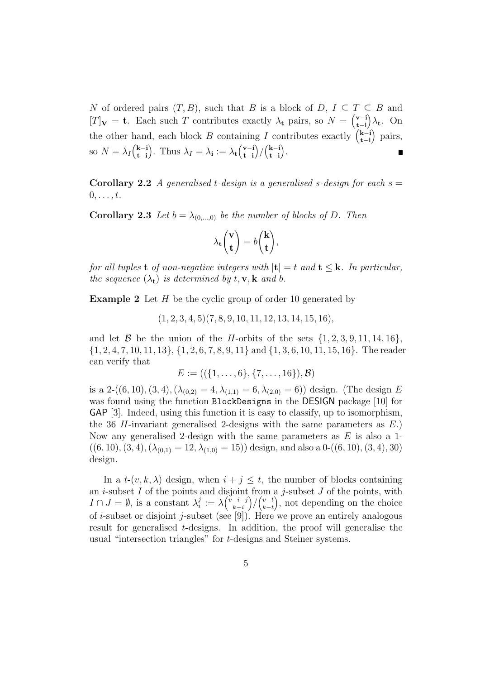N of ordered pairs  $(T, B)$ , such that B is a block of  $D, I \subseteq T \subseteq B$  and  $[T]_{\mathbf{V}} = \mathbf{t}$ . Each such T contributes exactly  $\lambda_{\mathbf{t}}$  pairs, so  $N = \begin{pmatrix} \mathbf{v} - \mathbf{i} \\ \mathbf{t} - \mathbf{i} \end{pmatrix}$  $\partial_{\mathbf{t}}$ . On t−i the other hand, each block B containing I contributes exactly  $\binom{k-i}{t-i}$  pairs, t−i so  $N = \lambda_I \begin{pmatrix} k-i \\ t-i \end{pmatrix}$ ). Thus  $\lambda_I = \lambda_i := \lambda_t \left(\begin{matrix} \mathbf{v} - \mathbf{i} \\ \mathbf{t} - \mathbf{i} \end{matrix}\right)$  $\binom{k-i}{i}$  $).$  $\blacksquare$ t−i t−i t−i

**Corollary 2.2** A generalised t-design is a generalised s-design for each  $s =$  $0, \ldots, t$ .

**Corollary 2.3** Let  $b = \lambda_{(0,...,0)}$  be the number of blocks of D. Then

$$
\lambda_{\mathbf{t}}\begin{pmatrix} \mathbf{v} \\ \mathbf{t} \end{pmatrix} = b\begin{pmatrix} \mathbf{k} \\ \mathbf{t} \end{pmatrix},
$$

for all tuples **t** of non-negative integers with  $|\mathbf{t}| = t$  and  $\mathbf{t} \leq \mathbf{k}$ . In particular, the sequence  $(\lambda_t)$  is determined by  $t, \mathbf{v}, \mathbf{k}$  and b.

**Example 2** Let  $H$  be the cyclic group of order 10 generated by

 $(1, 2, 3, 4, 5)(7, 8, 9, 10, 11, 12, 13, 14, 15, 16),$ 

and let B be the union of the H-orbits of the sets  $\{1, 2, 3, 9, 11, 14, 16\}$ ,  $\{1, 2, 4, 7, 10, 11, 13\}, \{1, 2, 6, 7, 8, 9, 11\}$  and  $\{1, 3, 6, 10, 11, 15, 16\}$ . The reader can verify that

$$
E := ((\{1, \ldots, 6\}, \{7, \ldots, 16\}), \mathcal{B})
$$

is a 2-((6, 10), (3, 4), ( $\lambda_{(0,2)} = 4$ ,  $\lambda_{(1,1)} = 6$ ,  $\lambda_{(2,0)} = 6$ )) design. (The design E was found using the function BlockDesigns in the DESIGN package [10] for GAP [3]. Indeed, using this function it is easy to classify, up to isomorphism, the 36 H-invariant generalised 2-designs with the same parameters as  $E$ .) Now any generalised 2-design with the same parameters as  $E$  is also a 1- $((6, 10), (3, 4), (\lambda_{(0,1)} = 12, \lambda_{(1,0)} = 15))$  design, and also a  $0-((6, 10), (3, 4), 30)$ design.

In a  $t-(v, k, \lambda)$  design, when  $i + j \leq t$ , the number of blocks containing an *i*-subset  $I$  of the points and disjoint from a *j*-subset  $J$  of the points, with  $I \cap J = \emptyset$ , is a constant  $\lambda_i^j$  $\frac{j}{i}:=\lambda\binom{v-i-j}{k-i}$  $k-i$  $\binom{v-t}{k-t}$  $k-t$  , not depending on the choice of *i*-subset or disjoint *j*-subset (see [9]). Here we prove an entirely analogous result for generalised t-designs. In addition, the proof will generalise the usual "intersection triangles" for t-designs and Steiner systems.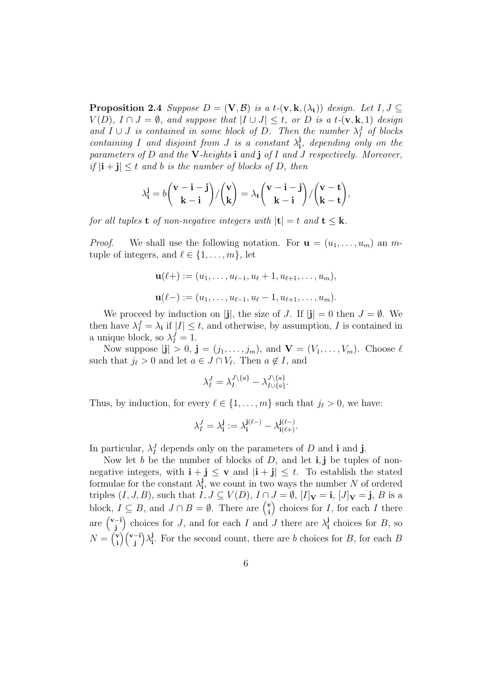**Proposition 2.4** Suppose  $D = (\mathbf{V}, \mathcal{B})$  is a t- $(\mathbf{v}, \mathbf{k}, (\lambda_t))$  design. Let  $I, J \subset$  $V(D)$ ,  $I \cap J = \emptyset$ , and suppose that  $|I \cup J| \leq t$ , or D is a t-(**v**, **k**, 1) design and  $I \cup J$  is contained in some block of D. Then the number  $\lambda_I^J$  of blocks containing I and disjoint from J is a constant  $\lambda_i^j$  $\frac{J}{i}$ , depending only on the parameters of  $D$  and the V-heights i and j of  $I$  and  $J$  respectively. Moreover, if  $|i + j| < t$  and b is the number of blocks of D, then

$$
\lambda_{\mathbf{i}}^{\mathbf{j}} = b \binom{\mathbf{v} - \mathbf{i} - \mathbf{j}}{\mathbf{k} - \mathbf{i}} / \binom{\mathbf{v}}{\mathbf{k}} = \lambda_{\mathbf{t}} \binom{\mathbf{v} - \mathbf{i} - \mathbf{j}}{\mathbf{k} - \mathbf{i}} / \binom{\mathbf{v} - \mathbf{t}}{\mathbf{k} - \mathbf{t}},
$$

for all tuples **t** of non-negative integers with  $|\mathbf{t}| = t$  and  $\mathbf{t} \leq \mathbf{k}$ .

*Proof.* We shall use the following notation. For  $\mathbf{u} = (u_1, \dots, u_m)$  an mtuple of integers, and  $\ell \in \{1, \ldots, m\}$ , let

$$
\mathbf{u}(\ell+):=(u_1,\ldots,u_{\ell-1},u_{\ell}+1,u_{\ell+1},\ldots,u_m),
$$
  

$$
\mathbf{u}(\ell-):=(u_1,\ldots,u_{\ell-1},u_{\ell}-1,u_{\ell+1},\ldots,u_m).
$$

We proceed by induction on |j|, the size of J. If  $|j| = 0$  then  $J = \emptyset$ . We then have  $\lambda_I^J = \lambda_i$  if  $|I| \leq t$ , and otherwise, by assumption, I is contained in a unique block, so  $\lambda_I^J = 1$ .

Now suppose  $|\mathbf{j}| > 0$ ,  $\mathbf{j} = (j_1, \ldots, j_m)$ , and  $\mathbf{V} = (V_1, \ldots, V_m)$ . Choose  $\ell$ such that  $j_{\ell} > 0$  and let  $a \in J \cap V_{\ell}$ . Then  $a \notin I$ , and

$$
\lambda_I^J = \lambda_I^{J \setminus \{a\}} - \lambda_{I \cup \{a\}}^{J \setminus \{a\}}.
$$

Thus, by induction, for every  $\ell \in \{1, \ldots, m\}$  such that  $j_{\ell} > 0$ , we have:

$$
\lambda^J_I=\lambda^{\mathbf{j}}_{\mathbf{i}}:=\lambda^{\mathbf{j}(\ell-)}_{\mathbf{i}}-\lambda^{\mathbf{j}(\ell-)}_{\mathbf{i}(\ell+)}.
$$

In particular,  $\lambda_I^J$  depends only on the parameters of D and i and j.

Now let b be the number of blocks of  $D$ , and let **i**, **j** be tuples of nonnegative integers, with  $\mathbf{i} + \mathbf{j} \leq \mathbf{v}$  and  $|\mathbf{i} + \mathbf{j}| \leq t$ . To establish the stated formulae for the constant  $\lambda_i^j$  $\mathbf{j}_{\mathbf{i}}$ , we count in two ways the number N of ordered triples  $(I, J, B)$ , such that  $I, J \subseteq V(D)$ ,  $I \cap J = \emptyset$ ,  $[I]_{\mathbf{V}} = \mathbf{i}$ ,  $[J]_{\mathbf{V}} = \mathbf{j}$ ,  $B$  is a block,  $I \subseteq B$ , and  $J \cap B = \emptyset$ . There are  $\binom{v}{i}$ i ) choices for  $I$ , for each  $I$  there are v−i j ) choices for J, and for each I and J there are  $\lambda_i^j$  $\mathbf{J}_i$  choices for  $B$ , so  $N = \begin{pmatrix} \mathbf{v} \\ \mathbf{i} \end{pmatrix}$ i v−i j  $\big) \lambda_{\mathbf{i}}^{\mathbf{j}}$ <sup>1</sup>. For the second count, there are b choices for B, for each B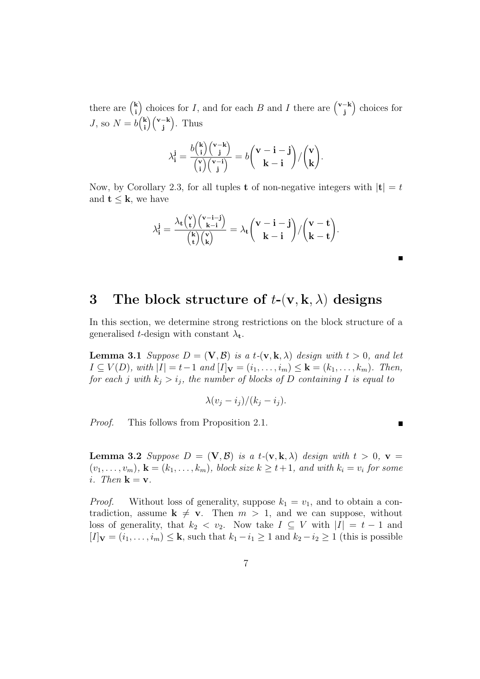there are  $\binom{k}{i}$ i ) choices for I, and for each B and I there are  $\binom{v-k}{i}$ j choices for J, so  $N = b\binom{k}{i}$ i v−k j . Thus

$$
\lambda_{\mathbf{i}}^{\mathbf{j}} = \frac{b {k \choose \mathbf{i}} {v-k \choose \mathbf{j}} }{{v \choose \mathbf{i}} {v - \mathbf{i} \choose \mathbf{j}}} = b {v - \mathbf{i} - \mathbf{j} \choose \mathbf{k} - \mathbf{i}} / {v \choose \mathbf{k}}.
$$

Now, by Corollary 2.3, for all tuples **t** of non-negative integers with  $|\mathbf{t}| = t$ and  $t \leq k$ , we have

$$
\lambda^{\mathbf{j}}_{\mathbf{i}} = \frac{\lambda_{\mathbf{t}} {\binom{v}{\mathbf{t}}} {\binom{v-i-\mathbf{j}}{\mathbf{k}-\mathbf{i}}} }{{\binom{\mathbf{k}}{\mathbf{t}}} {\binom{v}{\mathbf{k}}} } = \lambda_{\mathbf{t}} {\binom{v - \mathbf{i} - \mathbf{j}}{\mathbf{k} - \mathbf{i}}} / {\binom{v - \mathbf{t}}{\mathbf{k} - \mathbf{t}}}.
$$

#### 3 The block structure of  $t$ -(v, k,  $\lambda$ ) designs

In this section, we determine strong restrictions on the block structure of a generalised t-design with constant  $\lambda_t$ .

**Lemma 3.1** Suppose  $D = (\mathbf{V}, \mathcal{B})$  is a t- $(\mathbf{v}, \mathbf{k}, \lambda)$  design with  $t > 0$ , and let  $I \subseteq V(D)$ , with  $|I| = t-1$  and  $[I]_{\mathbf{V}} = (i_1, \ldots, i_m) \leq \mathbf{k} = (k_1, \ldots, k_m)$ . Then, for each j with  $k_j > i_j$ , the number of blocks of D containing I is equal to

$$
\lambda(v_j - i_j)/(k_j - i_j).
$$

Proof. This follows from Proposition 2.1.

Е

**Lemma 3.2** Suppose  $D = (\mathbf{V}, \mathcal{B})$  is a t- $(\mathbf{v}, \mathbf{k}, \lambda)$  design with  $t > 0$ ,  $\mathbf{v} =$  $(v_1, \ldots, v_m)$ ,  $\mathbf{k} = (k_1, \ldots, k_m)$ , block size  $k \geq t+1$ , and with  $k_i = v_i$  for some i. Then  $\mathbf{k} = \mathbf{v}$ .

*Proof.* Without loss of generality, suppose  $k_1 = v_1$ , and to obtain a contradiction, assume  $k \neq v$ . Then  $m > 1$ , and we can suppose, without loss of generality, that  $k_2 < v_2$ . Now take  $I \subseteq V$  with  $|I| = t - 1$  and  $[I]_{\mathbf{V}} = (i_1, \ldots, i_m) \leq \mathbf{k}$ , such that  $k_1 - i_1 \geq 1$  and  $k_2 - i_2 \geq 1$  (this is possible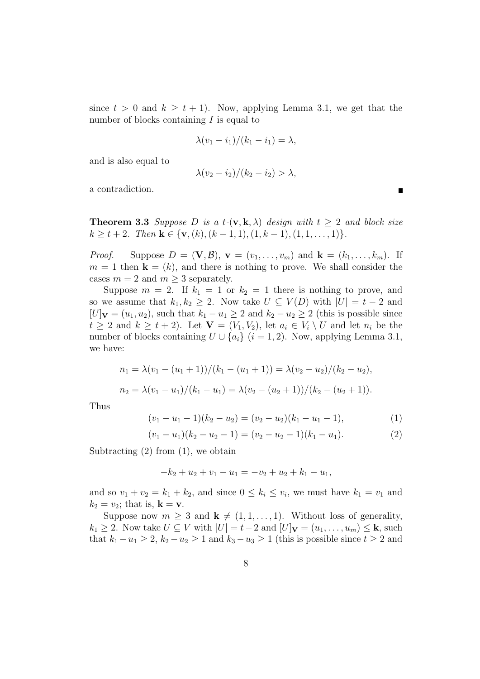since  $t > 0$  and  $k \geq t + 1$ . Now, applying Lemma 3.1, we get that the number of blocks containing  $I$  is equal to

$$
\lambda(v_1 - i_1)/(k_1 - i_1) = \lambda,
$$

and is also equal to

$$
\lambda(v_2 - i_2)/(k_2 - i_2) > \lambda,
$$

a contradiction.

**Theorem 3.3** Suppose D is a t- $(v, k, \lambda)$  design with  $t \geq 2$  and block size  $k \geq t + 2$ . Then  $\mathbf{k} \in \{\mathbf{v}, (k), (k-1, 1), (1, k-1), (1, 1, \ldots, 1)\}.$ 

*Proof.* Suppose  $D = (\mathbf{V}, \mathcal{B}), \mathbf{v} = (v_1, \ldots, v_m)$  and  $\mathbf{k} = (k_1, \ldots, k_m)$ . If  $m = 1$  then  $\mathbf{k} = (k)$ , and there is nothing to prove. We shall consider the cases  $m = 2$  and  $m > 3$  separately.

Suppose  $m = 2$ . If  $k_1 = 1$  or  $k_2 = 1$  there is nothing to prove, and so we assume that  $k_1, k_2 \geq 2$ . Now take  $U \subseteq V(D)$  with  $|U| = t - 2$  and  $[U]_{\mathbf{V}} = (u_1, u_2)$ , such that  $k_1 - u_1 \geq 2$  and  $k_2 - u_2 \geq 2$  (this is possible since  $t \geq 2$  and  $k \geq t + 2$ ). Let  $\mathbf{V} = (V_1, V_2)$ , let  $a_i \in V_i \setminus U$  and let  $n_i$  be the number of blocks containing  $U \cup \{a_i\}$  (i = 1, 2). Now, applying Lemma 3.1, we have:

$$
n_1 = \lambda (v_1 - (u_1 + 1))/(k_1 - (u_1 + 1)) = \lambda (v_2 - u_2)/(k_2 - u_2),
$$
  
\n
$$
n_2 = \lambda (v_1 - u_1)/(k_1 - u_1) = \lambda (v_2 - (u_2 + 1))/(k_2 - (u_2 + 1)).
$$

Thus

$$
(v_1 - u_1 - 1)(k_2 - u_2) = (v_2 - u_2)(k_1 - u_1 - 1),
$$
\n(1)

$$
(v_1 - u_1)(k_2 - u_2 - 1) = (v_2 - u_2 - 1)(k_1 - u_1).
$$
 (2)

Subtracting  $(2)$  from  $(1)$ , we obtain

$$
-k_2 + u_2 + v_1 - u_1 = -v_2 + u_2 + k_1 - u_1,
$$

and so  $v_1 + v_2 = k_1 + k_2$ , and since  $0 \le k_i \le v_i$ , we must have  $k_1 = v_1$  and  $k_2 = v_2$ ; that is,  $\mathbf{k} = \mathbf{v}$ .

Suppose now  $m \geq 3$  and  $\mathbf{k} \neq (1, 1, \ldots, 1)$ . Without loss of generality,  $k_1 \geq 2$ . Now take  $U \subseteq V$  with  $|U| = t-2$  and  $|U|_{\mathbf{V}} = (u_1, \ldots, u_m) \leq \mathbf{k}$ , such that  $k_1 - u_1 \geq 2$ ,  $k_2 - u_2 \geq 1$  and  $k_3 - u_3 \geq 1$  (this is possible since  $t \geq 2$  and

 $\blacksquare$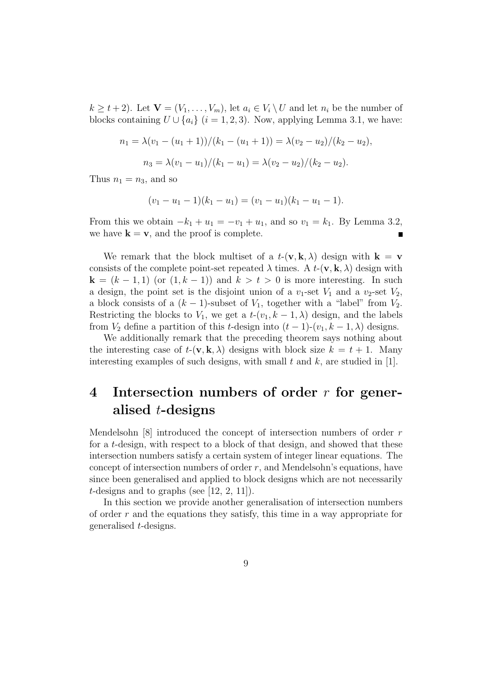$k \geq t+2$ ). Let  $\mathbf{V} = (V_1, \ldots, V_m)$ , let  $a_i \in V_i \setminus U$  and let  $n_i$  be the number of blocks containing  $U \cup \{a_i\}$  (i = 1, 2, 3). Now, applying Lemma 3.1, we have:

$$
n_1 = \lambda (v_1 - (u_1 + 1))/(k_1 - (u_1 + 1)) = \lambda (v_2 - u_2)/(k_2 - u_2),
$$
  

$$
n_3 = \lambda (v_1 - u_1)/(k_1 - u_1) = \lambda (v_2 - u_2)/(k_2 - u_2).
$$

Thus  $n_1 = n_3$ , and so

$$
(v_1 - u_1 - 1)(k_1 - u_1) = (v_1 - u_1)(k_1 - u_1 - 1).
$$

From this we obtain  $-k_1 + u_1 = -v_1 + u_1$ , and so  $v_1 = k_1$ . By Lemma 3.2, we have  $\mathbf{k} = \mathbf{v}$ , and the proof is complete.  $\blacksquare$ 

We remark that the block multiset of a  $t-(\mathbf{v}, \mathbf{k}, \lambda)$  design with  $\mathbf{k} = \mathbf{v}$ consists of the complete point-set repeated  $\lambda$  times. A  $t$ -(**v**, **k**,  $\lambda$ ) design with  $k = (k - 1, 1)$  (or  $(1, k - 1)$ ) and  $k > t > 0$  is more interesting. In such a design, the point set is the disjoint union of a  $v_1$ -set  $V_1$  and a  $v_2$ -set  $V_2$ , a block consists of a  $(k-1)$ -subset of  $V_1$ , together with a "label" from  $V_2$ . Restricting the blocks to  $V_1$ , we get a  $t-(v_1, k-1, \lambda)$  design, and the labels from  $V_2$  define a partition of this t-design into  $(t-1)-(v_1, k-1, \lambda)$  designs.

We additionally remark that the preceding theorem says nothing about the interesting case of  $t-(\mathbf{v}, \mathbf{k}, \lambda)$  designs with block size  $k = t + 1$ . Many interesting examples of such designs, with small  $t$  and  $k$ , are studied in [1].

# 4 Intersection numbers of order  $r$  for generalised t-designs

Mendelsohn [8] introduced the concept of intersection numbers of order r for a t-design, with respect to a block of that design, and showed that these intersection numbers satisfy a certain system of integer linear equations. The concept of intersection numbers of order  $r$ , and Mendelsohn's equations, have since been generalised and applied to block designs which are not necessarily t-designs and to graphs (see  $[12, 2, 11]$ ).

In this section we provide another generalisation of intersection numbers of order r and the equations they satisfy, this time in a way appropriate for generalised t-designs.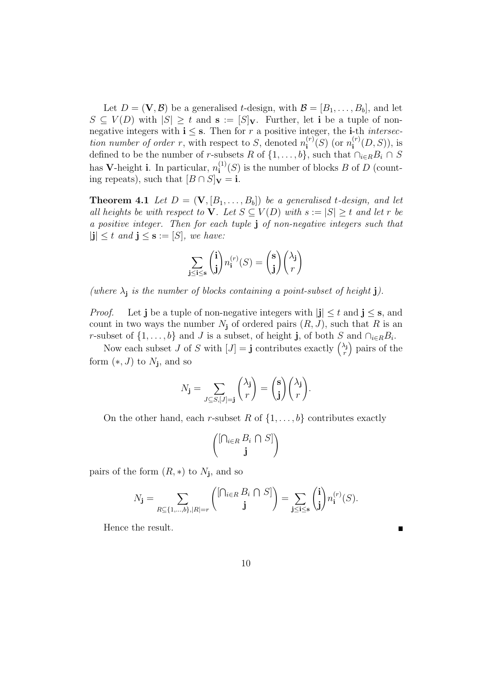Let  $D = (\mathbf{V}, \mathcal{B})$  be a generalised t-design, with  $\mathcal{B} = [B_1, \ldots, B_b]$ , and let  $S \subseteq V(D)$  with  $|S| \geq t$  and  $\mathbf{s} := [S]_{\mathbf{V}}$ . Further, let i be a tuple of nonnegative integers with  $i \leq s$ . Then for r a positive integer, the *i*-th *intersec*tion number of order r, with respect to S, denoted  $n_i^{(r)}$  $\binom{r}{\mathbf{i}}(S)$  (or  $n_{\mathbf{i}}^{(r)}$  $i^{(r)}(D, S)$ , is defined to be the number of r-subsets R of  $\{1, \ldots, b\}$ , such that  $\cap_{i \in R} B_i \cap S$ has V-height i. In particular,  $n_i^{(1)}$  $i^{(1)}(S)$  is the number of blocks B of D (counting repeats), such that  $[B \cap S]_{\mathbf{V}} = \mathbf{i}$ .

**Theorem 4.1** Let  $D = (\mathbf{V}, [B_1, \ldots, B_b])$  be a generalised t-design, and let all heights be with respect to V. Let  $S \subseteq V(D)$  with  $s := |S| \geq t$  and let r be a positive integer. Then for each tuple j of non-negative integers such that  $|\mathbf{j}| \leq t$  and  $\mathbf{j} \leq \mathbf{s} := [S]$ , we have:

$$
\sum_{\mathbf{j}\leq\mathbf{i}\leq\mathbf{s}}\binom{\mathbf{i}}{\mathbf{j}}n_{\mathbf{i}}^{(r)}(S)=\binom{\mathbf{s}}{\mathbf{j}}\binom{\lambda_{\mathbf{j}}}{r}
$$

(where  $\lambda_j$  is the number of blocks containing a point-subset of height j).

*Proof.* Let j be a tuple of non-negative integers with  $|j| \leq t$  and  $j \leq s$ , and count in two ways the number  $N_j$  of ordered pairs  $(R, J)$ , such that R is an r-subset of  $\{1, \ldots, b\}$  and J is a subset, of height **j**, of both S and  $\cap_{i \in R} B_i$ .

Now each subset J of S with  $[J] = \mathbf{j}$  contributes exactly  $\begin{pmatrix} \lambda_j \\ r \end{pmatrix}$ r pairs of the form  $(*, J)$  to  $N_j$ , and so

$$
N_{\mathbf{j}} = \sum_{J \subseteq S, [J] = \mathbf{j}} {\lambda_{\mathbf{j}} \choose r} = {\mathbf{s} \choose \mathbf{j}} {\lambda_{\mathbf{j}} \choose r}.
$$

On the other hand, each r-subset R of  $\{1, \ldots, b\}$  contributes exactly

$$
\begin{pmatrix}\n[\bigcap_{i \in R} B_i \cap S]\n\end{pmatrix}
$$

pairs of the form  $(R, *)$  to  $N_j$ , and so

$$
N_{\mathbf{j}} = \sum_{R \subseteq \{1,\ldots,b\}, |R|=r} \binom{[\bigcap_{i \in R} B_i \cap S]}{\mathbf{j}} = \sum_{\mathbf{j} \leq \mathbf{i} \leq \mathbf{s}} \binom{\mathbf{i}}{\mathbf{j}} n_{\mathbf{i}}^{(r)}(S).
$$

Hence the result.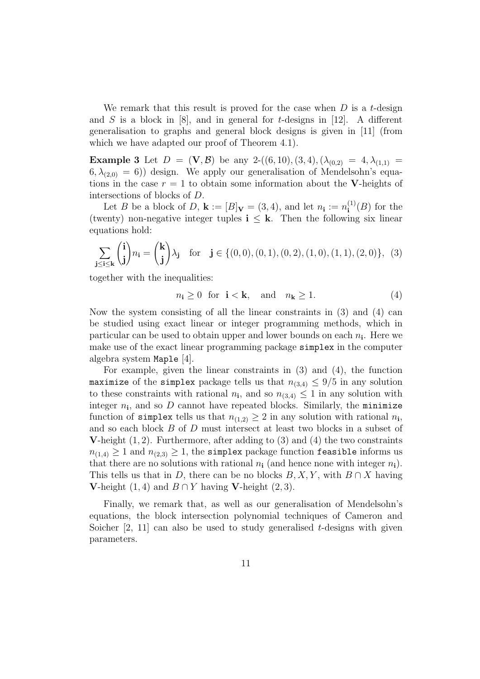We remark that this result is proved for the case when  $D$  is a t-design and S is a block in [8], and in general for t-designs in [12]. A different generalisation to graphs and general block designs is given in [11] (from which we have adapted our proof of Theorem 4.1).

**Example 3** Let  $D = (\mathbf{V}, \mathcal{B})$  be any 2- $((6, 10), (3, 4), (\lambda_{(0,2)}) = 4, \lambda_{(1,1)} =$  $(6, \lambda_{(2,0)} = 6)$  design. We apply our generalisation of Mendelsohn's equations in the case  $r = 1$  to obtain some information about the V-heights of intersections of blocks of D.

Let B be a block of D,  $\mathbf{k} := [B]_{\mathbf{V}} = (3, 4)$ , and let  $n_{\mathbf{i}} := n_{\mathbf{i}}^{(1)}$  $f_{\mathbf{i}}^{(1)}(B)$  for the (twenty) non-negative integer tuples  $i \leq k$ . Then the following six linear equations hold:

$$
\sum_{\mathbf{j}\leq\mathbf{i}\leq\mathbf{k}}\binom{\mathbf{i}}{\mathbf{j}}n_{\mathbf{i}}=\binom{\mathbf{k}}{\mathbf{j}}\lambda_{\mathbf{j}}\quad\text{for}\quad\mathbf{j}\in\{(0,0),(0,1),(0,2),(1,0),(1,1),(2,0)\},\tag{3}
$$

together with the inequalities:

$$
n_{\mathbf{i}} \ge 0 \quad \text{for } \quad \mathbf{i} < \mathbf{k}, \quad \text{and} \quad n_{\mathbf{k}} \ge 1. \tag{4}
$$

Now the system consisting of all the linear constraints in (3) and (4) can be studied using exact linear or integer programming methods, which in particular can be used to obtain upper and lower bounds on each  $n_i$ . Here we make use of the exact linear programming package simplex in the computer algebra system Maple [4].

For example, given the linear constraints in (3) and (4), the function maximize of the simplex package tells us that  $n_{(3,4)} \leq 9/5$  in any solution to these constraints with rational  $n_i$ , and so  $n_{(3,4)} \leq 1$  in any solution with integer  $n_i$ , and so D cannot have repeated blocks. Similarly, the minimize function of simplex tells us that  $n_{(1,2)} \geq 2$  in any solution with rational  $n_i$ , and so each block B of D must intersect at least two blocks in a subset of **V**-height  $(1, 2)$ . Furthermore, after adding to  $(3)$  and  $(4)$  the two constraints  $n_{(1,4)} \geq 1$  and  $n_{(2,3)} \geq 1$ , the simplex package function feasible informs us that there are no solutions with rational  $n_i$  (and hence none with integer  $n_i$ ). This tells us that in D, there can be no blocks  $B, X, Y$ , with  $B \cap X$  having **V**-height (1, 4) and  $B ∩ Y$  having **V**-height (2, 3).

Finally, we remark that, as well as our generalisation of Mendelsohn's equations, the block intersection polynomial techniques of Cameron and Soicher  $[2, 11]$  can also be used to study generalised t-designs with given parameters.